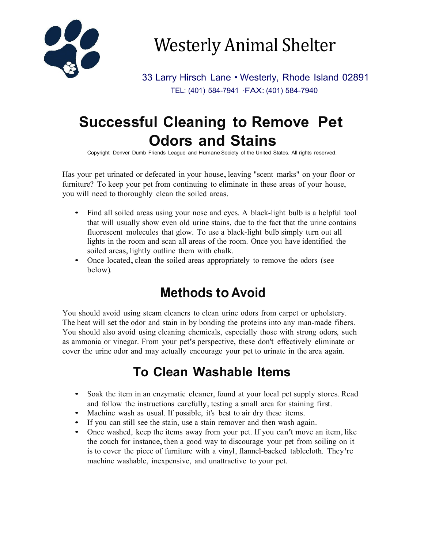

Westerly Animal Shelter

33 Larry Hirsch Lane • Westerly, Rhode Island 02891 TEL: (401) 584-7941 ·FAX: (401) 584-7940

# **Successful Cleaning to Remove Pet Odors and Stains**

Copyright Denver Dumb Friends League and Humane Society of the United States. All rights reserved.

Has your pet urinated or defecated in your house, leaving "scent marks" on your floor or furniture? To keep your pet from continuing to eliminate in these areas of your house, you will need to thoroughly clean the soiled areas.

- Find all soiled areas using your nose and eyes. A black-light bulb is a helpful tool that will usually show even old urine stains, due to the fact that the urine contains fluorescent molecules that glow. To use a black-light bulb simply turn out all lights in the room and scan all areas of the room. Once you have identified the soiled areas, lightly outline them with chalk.
- Once located, clean the soiled areas appropriately to remove the odors (see below).

### **Methods to Avoid**

You should avoid using steam cleaners to clean urine odors from carpet or upholstery. The heat will set the odor and stain in by bonding the proteins into any man-made fibers. You should also avoid using cleaning chemicals, especially those with strong odors, such as ammonia or vinegar. From your pet's perspective, these don't effectively eliminate or cover the urine odor and may actually encourage your pet to urinate in the area again.

#### **To Clean Washable Items**

- Soak the item in an enzymatic cleaner, found at your local pet supply stores. Read and follow the instructions carefully, testing a small area for staining first.
- Machine wash as usual. If possible, it's best to air dry these items.
- If you can still see the stain, use a stain remover and then wash again.
- Once washed, keep the items away from your pet. If you can't move an item, like the couch for instance, then a good way to discourage your pet from soiling on it is to cover the piece of furniture with a vinyl, flannel-backed tablecloth. They're machine washable, inexpensive, and unattractive to your pet.